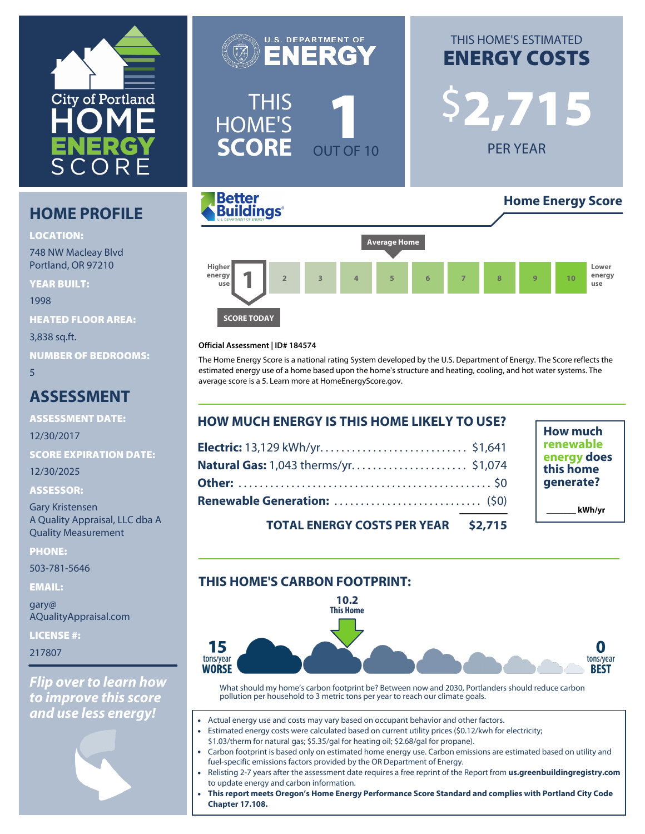

# **HOME PROFILE**

#### **LOCATION:**

748 NW Macleay Blvd Portland, OR 97210

**YEAR BUILT:**

1998

**HEATED FLOOR AREA:**

3,838 sq.ft.

**NUMBER OF BEDROOMS:**

5

# **ASSESSMENT**

**ASSESSMENT DATE:**

12/30/2017

**SCORE EXPIRATION DATE:**

12/30/2025

#### **ASSESSOR:**

Gary Kristensen A Quality Appraisal, LLC dba A Quality Measurement

**PHONE:**

503-781-5646

**EMAIL:**

gary@ AQualityAppraisal.com

**LICENSE #:**

217807

*Flip over to learn how to improve this score and use less energy!*

NERG \$**2,715** THIS HOME'S **SCORE OUT OF 10** 

**U.S. DEPARTMENT OF** 

# THIS HOME'S ESTIMATED **ENERGY COSTS**

PER YEAR





#### **Official Assessment | ID# 184574**

The Home Energy Score is a national rating System developed by the U.S. Department of Energy. The Score reflects the estimated energy use of a home based upon the home's structure and heating, cooling, and hot water systems. The average score is a 5. Learn more at [HomeEnergyScore.gov.](https://homeenergyscore.gov)

| <b>HOW MUCH ENERGY IS THIS HOME LIKELY TO USE?</b> |  |  |
|----------------------------------------------------|--|--|
|                                                    |  |  |
|                                                    |  |  |
|                                                    |  |  |
|                                                    |  |  |
| TOTAL ENFROY COSTS RER VEAR 43 715                 |  |  |

**How much renewable energy does this home generate? \_\_\_\_\_\_\_ kWh/yr**

**TOTAL ENERGY COSTS PER YEAR \$2,715**

# **THIS HOME'S CARBON FOOTPRINT:**



What should my home's carbon footprint be? Between now and 2030, Portlanders should reduce carbon pollution per household to 3 metric tons per year to reach our climate goals.

- Actual energy use and costs may vary based on occupant behavior and other factors.
- Estimated energy costs were calculated based on current utility prices (\$0.12/kwh for electricity; \$1.03/therm for natural gas; \$5.35/gal for heating oil; \$2.68/gal for propane).
- Carbon footprint is based only on estimated home energy use. Carbon emissions are estimated based on utility and fuel-specific emissions factors provided by the OR Department of Energy.
- Relisting 2-7 years after the assessment date requires a free reprint of the Report from **[us.greenbuildingregistry.com](https://us.greenbuildingregistry.com)** to update energy and carbon information.
- **This report meets Oregon's Home Energy Performance Score Standard and complies with Portland City Code Chapter 17.108.**